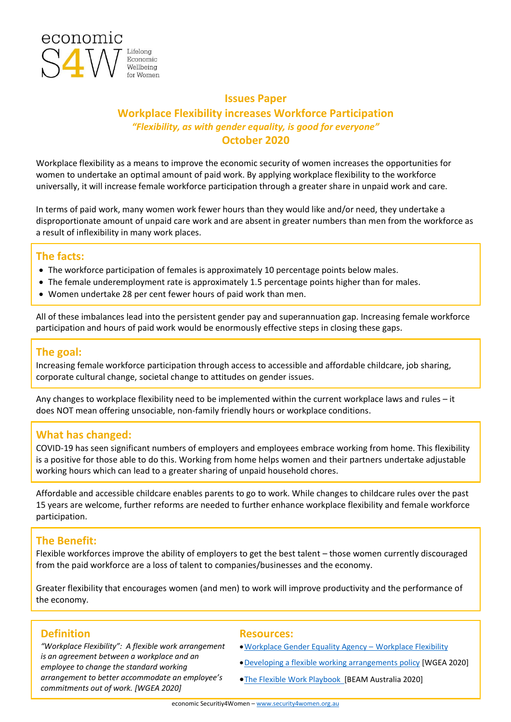

## **Issues Paper Workplace Flexibility increases Workforce Participation** *"Flexibility, as with gender equality, is good for everyone"*  **October 2020**

Workplace flexibility as a means to improve the economic security of women increases the opportunities for women to undertake an optimal amount of paid work. By applying workplace flexibility to the workforce universally, it will increase female workforce participation through a greater share in unpaid work and care.

In terms of paid work, many women work fewer hours than they would like and/or need, they undertake a disproportionate amount of unpaid care work and are absent in greater numbers than men from the workforce as a result of inflexibility in many work places.

### **The facts:**

- The workforce participation of females is approximately 10 percentage points below males.
- The female underemployment rate is approximately 1.5 percentage points higher than for males.
- Women undertake 28 per cent fewer hours of paid work than men.

All of these imbalances lead into the persistent gender pay and superannuation gap. Increasing female workforce participation and hours of paid work would be enormously effective steps in closing these gaps.

## **The goal:**

Increasing female workforce participation through access to accessible and affordable childcare, job sharing, corporate cultural change, societal change to attitudes on gender issues.

Any changes to workplace flexibility need to be implemented within the current workplace laws and rules – it does NOT mean offering unsociable, non-family friendly hours or workplace conditions.

## **What has changed:**

COVID-19 has seen significant numbers of employers and employees embrace working from home. This flexibility is a positive for those able to do this. Working from home helps women and their partners undertake adjustable working hours which can lead to a greater sharing of unpaid household chores.

Affordable and accessible childcare enables parents to go to work. While changes to childcare rules over the past 15 years are welcome, further reforms are needed to further enhance workplace flexibility and female workforce participation.

## **The Benefit:**

Flexible workforces improve the ability of employers to get the best talent – those women currently discouraged from the paid workforce are a loss of talent to companies/businesses and the economy.

Greater flexibility that encourages women (and men) to work will improve productivity and the performance of the economy.

## **Definition Resources:**

*"Workplace Flexibility": A flexible work arrangement is an agreement between a workplace and an employee to change the standard working arrangement to better accommodate an employee's commitments out of work. [WGEA 2020]*

- •[Workplace Gender Equality Agency](https://www.wgea.gov.au/topics/workplace-flexibility)  Workplace Flexibility
- •[Developing a flexible working arrangements policy](https://www.wgea.gov.au/sites/default/files/documents/Developing-a-flexible-working-arrangements-policy.pdf) [WGEA 2020]
- **•[The Flexible Work Playbook](https://playbook.beamaustralia.com.au/) [BEAM Australia 2020]**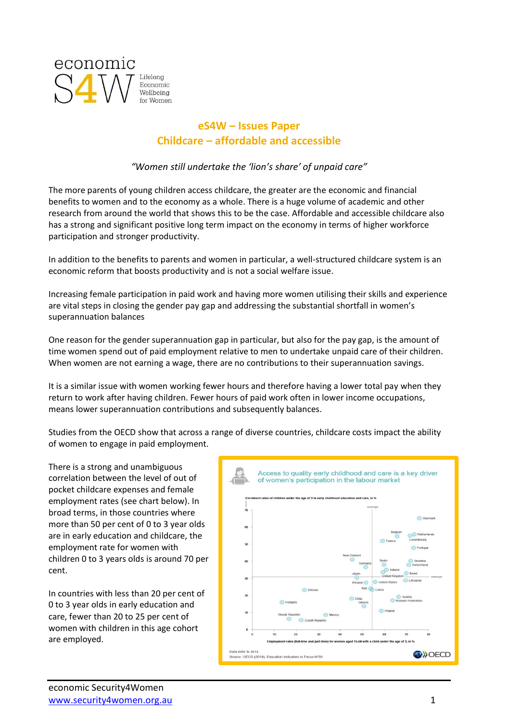

## **eS4W – Issues Paper Childcare – affordable and accessible**

*"Women still undertake the 'lion's share' of unpaid care"*

The more parents of young children access childcare, the greater are the economic and financial benefits to women and to the economy as a whole. There is a huge volume of academic and other research from around the world that shows this to be the case. Affordable and accessible childcare also has a strong and significant positive long term impact on the economy in terms of higher workforce participation and stronger productivity.

In addition to the benefits to parents and women in particular, a well-structured childcare system is an economic reform that boosts productivity and is not a social welfare issue.

Increasing female participation in paid work and having more women utilising their skills and experience are vital steps in closing the gender pay gap and addressing the substantial shortfall in women's superannuation balances

One reason for the gender superannuation gap in particular, but also for the pay gap, is the amount of time women spend out of paid employment relative to men to undertake unpaid care of their children. When women are not earning a wage, there are no contributions to their superannuation savings.

It is a similar issue with women working fewer hours and therefore having a lower total pay when they return to work after having children. Fewer hours of paid work often in lower income occupations, means lower superannuation contributions and subsequently balances.

Studies from the OECD show that across a range of diverse countries, childcare costs impact the ability of women to engage in paid employment.

There is a strong and unambiguous correlation between the level of out of pocket childcare expenses and female employment rates (see chart below). In broad terms, in those countries where more than 50 per cent of 0 to 3 year olds are in early education and childcare, the employment rate for women with children 0 to 3 years olds is around 70 per cent.

In countries with less than 20 per cent of 0 to 3 year olds in early education and care, fewer than 20 to 25 per cent of women with children in this age cohort are employed.

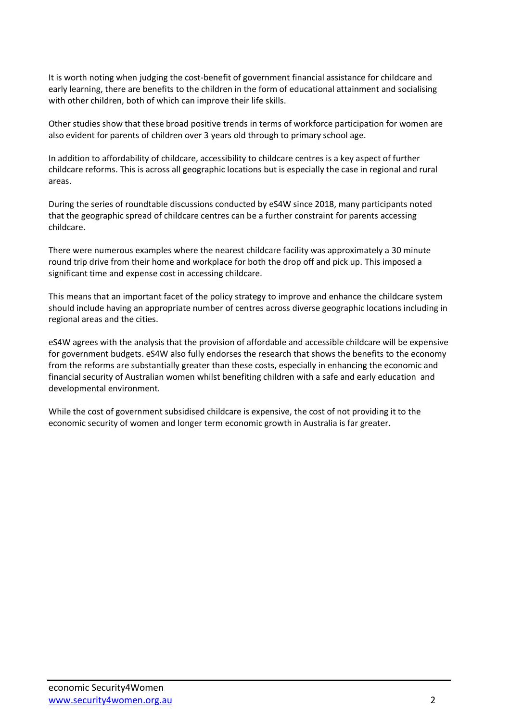It is worth noting when judging the cost-benefit of government financial assistance for childcare and early learning, there are benefits to the children in the form of educational attainment and socialising with other children, both of which can improve their life skills.

Other studies show that these broad positive trends in terms of workforce participation for women are also evident for parents of children over 3 years old through to primary school age.

In addition to affordability of childcare, accessibility to childcare centres is a key aspect of further childcare reforms. This is across all geographic locations but is especially the case in regional and rural areas.

During the series of roundtable discussions conducted by eS4W since 2018, many participants noted that the geographic spread of childcare centres can be a further constraint for parents accessing childcare.

There were numerous examples where the nearest childcare facility was approximately a 30 minute round trip drive from their home and workplace for both the drop off and pick up. This imposed a significant time and expense cost in accessing childcare.

This means that an important facet of the policy strategy to improve and enhance the childcare system should include having an appropriate number of centres across diverse geographic locations including in regional areas and the cities.

eS4W agrees with the analysis that the provision of affordable and accessible childcare will be expensive for government budgets. eS4W also fully endorses the research that shows the benefits to the economy from the reforms are substantially greater than these costs, especially in enhancing the economic and financial security of Australian women whilst benefiting children with a safe and early education and developmental environment.

While the cost of government subsidised childcare is expensive, the cost of not providing it to the economic security of women and longer term economic growth in Australia is far greater.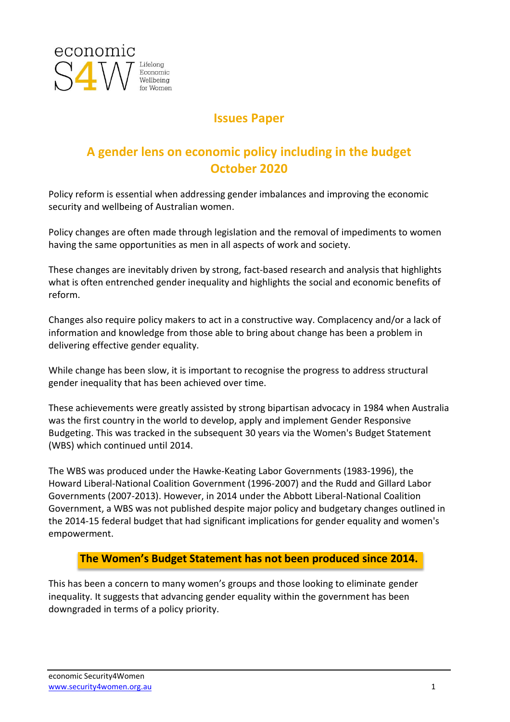

## **Issues Paper**

# **A gender lens on economic policy including in the budget October 2020**

Policy reform is essential when addressing gender imbalances and improving the economic security and wellbeing of Australian women.

Policy changes are often made through legislation and the removal of impediments to women having the same opportunities as men in all aspects of work and society.

These changes are inevitably driven by strong, fact-based research and analysis that highlights what is often entrenched gender inequality and highlights the social and economic benefits of reform.

Changes also require policy makers to act in a constructive way. Complacency and/or a lack of information and knowledge from those able to bring about change has been a problem in delivering effective gender equality.

While change has been slow, it is important to recognise the progress to address structural gender inequality that has been achieved over time.

These achievements were greatly assisted by strong bipartisan advocacy in 1984 when Australia was the first country in the world to develop, apply and implement Gender Responsive Budgeting. This was tracked in the subsequent 30 years via the Women's Budget Statement (WBS) which continued until 2014.

The WBS was produced under the Hawke-Keating Labor Governments (1983-1996), the Howard Liberal-National Coalition Government (1996-2007) and the Rudd and Gillard Labor Governments (2007-2013). However, in 2014 under the Abbott Liberal-National Coalition Government, a WBS was not published despite major policy and budgetary changes outlined in the 2014-15 federal budget that had significant implications for gender equality and women's empowerment.

## **The Women's Budget Statement has not been produced since 2014.**

This has been a concern to many women's groups and those looking to eliminate gender inequality. It suggests that advancing gender equality within the government has been downgraded in terms of a policy priority.